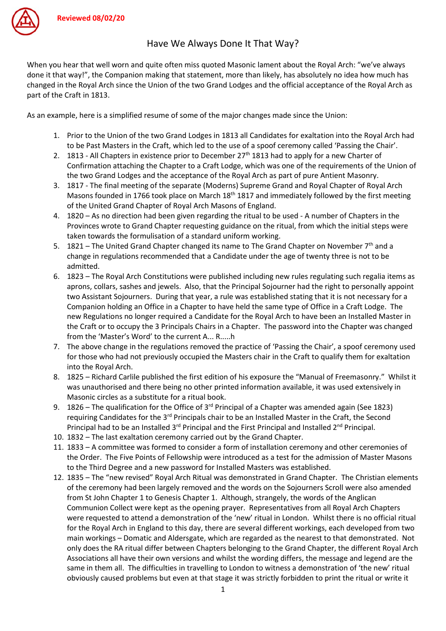

When you hear that well worn and quite often miss quoted Masonic lament about the Royal Arch: "we've always done it that way!", the Companion making that statement, more than likely, has absolutely no idea how much has changed in the Royal Arch since the Union of the two Grand Lodges and the official acceptance of the Royal Arch as part of the Craft in 1813.

As an example, here is a simplified resume of some of the major changes made since the Union:

- 1. Prior to the Union of the two Grand Lodges in 1813 all Candidates for exaltation into the Royal Arch had to be Past Masters in the Craft, which led to the use of a spoof ceremony called 'Passing the Chair'.
- 2. 1813 All Chapters in existence prior to December 27<sup>th</sup> 1813 had to apply for a new Charter of Confirmation attaching the Chapter to a Craft Lodge, which was one of the requirements of the Union of the two Grand Lodges and the acceptance of the Royal Arch as part of pure Antient Masonry.
- 3. 1817 The final meeting of the separate (Moderns) Supreme Grand and Royal Chapter of Royal Arch Masons founded in 1766 took place on March  $18<sup>th</sup> 1817$  and immediately followed by the first meeting of the United Grand Chapter of Royal Arch Masons of England.
- 4. 1820 As no direction had been given regarding the ritual to be used A number of Chapters in the Provinces wrote to Grand Chapter requesting guidance on the ritual, from which the initial steps were taken towards the formulisation of a standard uniform working.
- 5. 1821 The United Grand Chapter changed its name to The Grand Chapter on November  $7<sup>th</sup>$  and a change in regulations recommended that a Candidate under the age of twenty three is not to be admitted.
- 6. 1823 The Royal Arch Constitutions were published including new rules regulating such regalia items as aprons, collars, sashes and jewels. Also, that the Principal Sojourner had the right to personally appoint two Assistant Sojourners. During that year, a rule was established stating that it is not necessary for a Companion holding an Office in a Chapter to have held the same type of Office in a Craft Lodge. The new Regulations no longer required a Candidate for the Royal Arch to have been an Installed Master in the Craft or to occupy the 3 Principals Chairs in a Chapter. The password into the Chapter was changed from the 'Master's Word' to the current A... R.....h
- 7. The above change in the regulations removed the practice of 'Passing the Chair', a spoof ceremony used for those who had not previously occupied the Masters chair in the Craft to qualify them for exaltation into the Royal Arch.
- 8. 1825 Richard Carlile published the first edition of his exposure the "Manual of Freemasonry." Whilst it was unauthorised and there being no other printed information available, it was used extensively in Masonic circles as a substitute for a ritual book.
- 9. 1826 The qualification for the Office of  $3<sup>rd</sup>$  Principal of a Chapter was amended again (See 1823) requiring Candidates for the 3<sup>rd</sup> Principals chair to be an Installed Master in the Craft, the Second Principal had to be an Installed 3<sup>rd</sup> Principal and the First Principal and Installed 2<sup>nd</sup> Principal.
- 10. 1832 The last exaltation ceremony carried out by the Grand Chapter.
- 11. 1833 A committee was formed to consider a form of installation ceremony and other ceremonies of the Order. The Five Points of Fellowship were introduced as a test for the admission of Master Masons to the Third Degree and a new password for Installed Masters was established.
- 12. 1835 The "new revised" Royal Arch Ritual was demonstrated in Grand Chapter. The Christian elements of the ceremony had been largely removed and the words on the Sojourners Scroll were also amended from St John Chapter 1 to Genesis Chapter 1. Although, strangely, the words of the Anglican Communion Collect were kept as the opening prayer. Representatives from all Royal Arch Chapters were requested to attend a demonstration of the 'new' ritual in London. Whilst there is no official ritual for the Royal Arch in England to this day, there are several different workings, each developed from two main workings – Domatic and Aldersgate, which are regarded as the nearest to that demonstrated. Not only does the RA ritual differ between Chapters belonging to the Grand Chapter, the different Royal Arch Associations all have their own versions and whilst the wording differs, the message and legend are the same in them all. The difficulties in travelling to London to witness a demonstration of 'the new' ritual obviously caused problems but even at that stage it was strictly forbidden to print the ritual or write it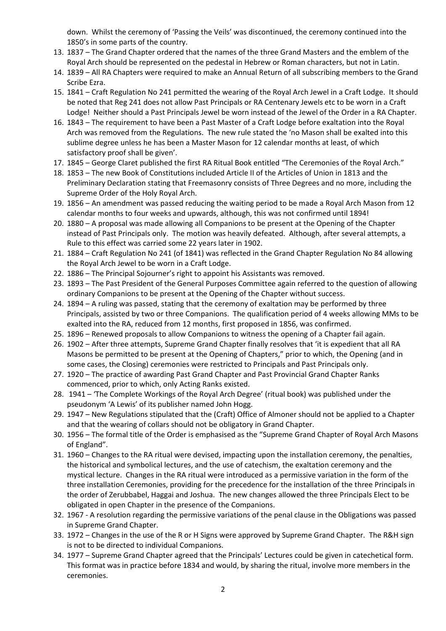down. Whilst the ceremony of 'Passing the Veils' was discontinued, the ceremony continued into the 1850's in some parts of the country.

- 13. 1837 The Grand Chapter ordered that the names of the three Grand Masters and the emblem of the Royal Arch should be represented on the pedestal in Hebrew or Roman characters, but not in Latin.
- 14. 1839 All RA Chapters were required to make an Annual Return of all subscribing members to the Grand Scribe Ezra.
- 15. 1841 Craft Regulation No 241 permitted the wearing of the Royal Arch Jewel in a Craft Lodge. It should be noted that Reg 241 does not allow Past Principals or RA Centenary Jewels etc to be worn in a Craft Lodge! Neither should a Past Principals Jewel be worn instead of the Jewel of the Order in a RA Chapter.
- 16. 1843 The requirement to have been a Past Master of a Craft Lodge before exaltation into the Royal Arch was removed from the Regulations. The new rule stated the 'no Mason shall be exalted into this sublime degree unless he has been a Master Mason for 12 calendar months at least, of which satisfactory proof shall be given'.
- 17. 1845 George Claret published the first RA Ritual Book entitled "The Ceremonies of the Royal Arch."
- 18. 1853 The new Book of Constitutions included Article II of the Articles of Union in 1813 and the Preliminary Declaration stating that Freemasonry consists of Three Degrees and no more, including the Supreme Order of the Holy Royal Arch.
- 19. 1856 An amendment was passed reducing the waiting period to be made a Royal Arch Mason from 12 calendar months to four weeks and upwards, although, this was not confirmed until 1894!
- 20. 1880 A proposal was made allowing all Companions to be present at the Opening of the Chapter instead of Past Principals only. The motion was heavily defeated. Although, after several attempts, a Rule to this effect was carried some 22 years later in 1902.
- 21. 1884 Craft Regulation No 241 (of 1841) was reflected in the Grand Chapter Regulation No 84 allowing the Royal Arch Jewel to be worn in a Craft Lodge.
- 22. 1886 The Principal Sojourner's right to appoint his Assistants was removed.
- 23. 1893 The Past President of the General Purposes Committee again referred to the question of allowing ordinary Companions to be present at the Opening of the Chapter without success.
- 24. 1894 A ruling was passed, stating that the ceremony of exaltation may be performed by three Principals, assisted by two or three Companions. The qualification period of 4 weeks allowing MMs to be exalted into the RA, reduced from 12 months, first proposed in 1856, was confirmed.
- 25. 1896 Renewed proposals to allow Companions to witness the opening of a Chapter fail again.
- 26. 1902 After three attempts, Supreme Grand Chapter finally resolves that 'it is expedient that all RA Masons be permitted to be present at the Opening of Chapters," prior to which, the Opening (and in some cases, the Closing) ceremonies were restricted to Principals and Past Principals only.
- 27. 1920 The practice of awarding Past Grand Chapter and Past Provincial Grand Chapter Ranks commenced, prior to which, only Acting Ranks existed.
- 28. 1941 'The Complete Workings of the Royal Arch Degree' (ritual book) was published under the pseudonym 'A Lewis' of its publisher named John Hogg.
- 29. 1947 New Regulations stipulated that the (Craft) Office of Almoner should not be applied to a Chapter and that the wearing of collars should not be obligatory in Grand Chapter.
- 30. 1956 The formal title of the Order is emphasised as the "Supreme Grand Chapter of Royal Arch Masons of England".
- 31. 1960 Changes to the RA ritual were devised, impacting upon the installation ceremony, the penalties, the historical and symbolical lectures, and the use of catechism, the exaltation ceremony and the mystical lecture. Changes in the RA ritual were introduced as a permissive variation in the form of the three installation Ceremonies, providing for the precedence for the installation of the three Principals in the order of Zerubbabel, Haggai and Joshua. The new changes allowed the three Principals Elect to be obligated in open Chapter in the presence of the Companions.
- 32. 1967 A resolution regarding the permissive variations of the penal clause in the Obligations was passed in Supreme Grand Chapter.
- 33. 1972 Changes in the use of the R or H Signs were approved by Supreme Grand Chapter. The R&H sign is not to be directed to individual Companions.
- 34. 1977 Supreme Grand Chapter agreed that the Principals' Lectures could be given in catechetical form. This format was in practice before 1834 and would, by sharing the ritual, involve more members in the ceremonies.